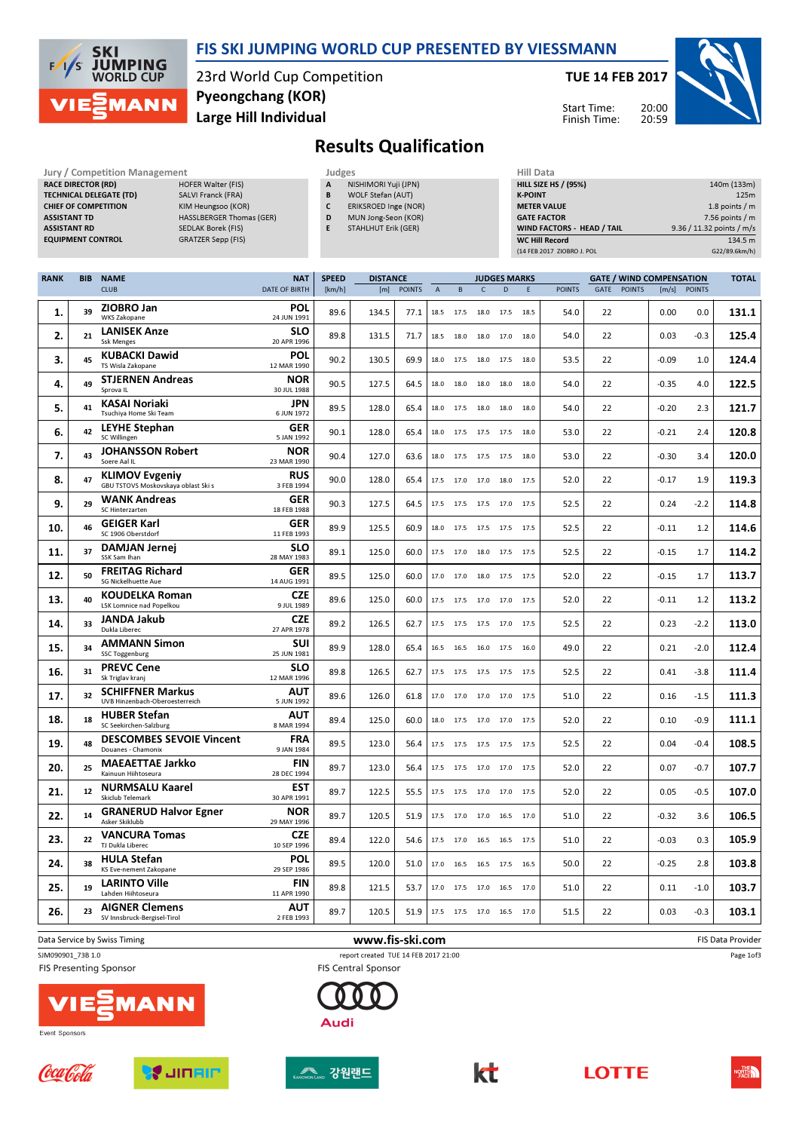

## FIS SKI JUMPING WORLD CUP PRESENTED BY VIESSMANN

23rd World Cup Competition Large Hill Individual Pyeongchang (KOR)

TUE 14 FEB 2017

Start Time: Finish Time:



## Results Qualification

| <b>Jury / Competition Management</b> |                                 | Judges |                            | <b>Hill Data</b>   |
|--------------------------------------|---------------------------------|--------|----------------------------|--------------------|
| <b>RACE DIRECTOR (RD)</b>            | <b>HOFER Walter (FIS)</b>       | A      | NISHIMORI Yuji (JPN)       | <b>HILL SIZE H</b> |
| <b>TECHNICAL DELEGATE (TD)</b>       | SALVI Franck (FRA)              | В      | WOLF Stefan (AUT)          | <b>K-POINT</b>     |
| <b>CHIEF OF COMPETITION</b>          | KIM Heungsoo (KOR)              |        | ERIKSROED Inge (NOR)       | <b>METER VAI</b>   |
| <b>ASSISTANT TD</b>                  | <b>HASSLBERGER Thomas (GER)</b> | D      | MUN Jong-Seon (KOR)        | <b>GATE FACT</b>   |
| <b>ASSISTANT RD</b>                  | SEDLAK Borek (FIS)              |        | <b>STAHLHUT Erik (GER)</b> | <b>WIND FACT</b>   |
| <b>EQUIPMENT CONTROL</b>             | GRATZER Sepp (FIS)              |        |                            | WC Hill Re         |

|                        | JUUKES       |                             |
|------------------------|--------------|-----------------------------|
| FER Walter (FIS)       | $\mathbf{A}$ | NISHIMORI Yuii (JPN)        |
| VI Franck (FRA)        | B            | <b>WOLF Stefan (AUT)</b>    |
| 1 Heungsoo (KOR)       | C            | <b>ERIKSROED Inge (NOR)</b> |
| SSLBERGER Thomas (GER) | D            | MUN Jong-Seon (KOR)         |
| LAK Borek (FIS)        | E            | <b>STAHLHUT Erik (GER)</b>  |
|                        |              |                             |

| Hill Data                   |                           |
|-----------------------------|---------------------------|
| <b>HILL SIZE HS / (95%)</b> | 140m (133m)               |
| <b>K-POINT</b>              | 125m                      |
| <b>METER VALUE</b>          | 1.8 points $/m$           |
| <b>GATE FACTOR</b>          | $7.56$ points / m         |
| WIND FACTORS - HEAD / TAIL  | 9.36 / 11.32 points / m/s |
| <b>WC Hill Record</b>       | 134.5 m                   |
| (14 FEB 2017 ZIOBRO J. POL  | G22/89.6km/h)             |

| <b>RANK</b> | <b>BIB</b> | <b>NAME</b>                                                  | <b>NAT</b>                | <b>SPEED</b> | <b>DISTANCE</b> |               |                |           |                          | <b>JUDGES MARKS</b> |      |               |      |               | <b>GATE / WIND COMPENSATION</b> |                | <b>TOTAL</b> |
|-------------|------------|--------------------------------------------------------------|---------------------------|--------------|-----------------|---------------|----------------|-----------|--------------------------|---------------------|------|---------------|------|---------------|---------------------------------|----------------|--------------|
|             |            | <b>CLUB</b>                                                  | <b>DATE OF BIRTH</b>      | [km/h]       | [m]             | <b>POINTS</b> | $\overline{A}$ | B         | $\mathsf{C}$             | D                   | E    | <b>POINTS</b> | GATE | <b>POINTS</b> |                                 | $[m/s]$ POINTS |              |
| 1.          | 39         | ZIOBRO Jan<br>WKS Zakopane                                   | <b>POL</b><br>24 JUN 1991 | 89.6         | 134.5           | 77.1          | 18.5           | 17.5      | 18.0                     | 17.5                | 18.5 | 54.0          | 22   |               | 0.00                            | 0.0            | 131.1        |
| 2.          | 21         | <b>LANISEK Anze</b><br><b>Ssk Menges</b>                     | <b>SLO</b><br>20 APR 1996 | 89.8         | 131.5           | 71.7          |                | 18.5 18.0 | 18.0 17.0                |                     | 18.0 | 54.0          | 22   |               | 0.03                            | $-0.3$         | 125.4        |
| 3.          | 45         | <b>KUBACKI Dawid</b><br>TS Wisla Zakopane                    | POL<br>12 MAR 1990        | 90.2         | 130.5           | 69.9          | 18.0           | 17.5      |                          | 18.0 17.5           | 18.0 | 53.5          | 22   |               | $-0.09$                         | 1.0            | 124.4        |
| 4.          | 49         | <b>STJERNEN Andreas</b><br>Sprova IL                         | <b>NOR</b><br>30 JUL 1988 | 90.5         | 127.5           | 64.5          | 18.0           | 18.0      | 18.0                     | 18.0                | 18.0 | 54.0          | 22   |               | $-0.35$                         | 4.0            | 122.5        |
| 5.          | 41         | <b>KASAI Noriaki</b><br>Tsuchiya Home Ski Team               | <b>JPN</b><br>6 JUN 1972  | 89.5         | 128.0           | 65.4          |                | 18.0 17.5 | 18.0 18.0                |                     | 18.0 | 54.0          | 22   |               | $-0.20$                         | 2.3            | 121.7        |
| 6.          | 42         | <b>LEYHE Stephan</b><br>SC Willingen                         | <b>GER</b><br>5 JAN 1992  | 90.1         | 128.0           | 65.4          | 18.0           | 17.5      | 17.5 17.5                |                     | 18.0 | 53.0          | 22   |               | $-0.21$                         | 2.4            | 120.8        |
| 7.          | 43         | <b>JOHANSSON Robert</b><br>Soere Aal IL                      | <b>NOR</b><br>23 MAR 1990 | 90.4         | 127.0           | 63.6          | 18.0           | 17.5      | 17.5                     | 17.5                | 18.0 | 53.0          | 22   |               | $-0.30$                         | 3.4            | 120.0        |
| 8.          | 47         | <b>KLIMOV Evgeniy</b><br>GBU TSTOVS Moskovskaya oblast Ski s | <b>RUS</b><br>3 FEB 1994  | 90.0         | 128.0           | 65.4          | 17.5           | 17.0      | 17.0 18.0                |                     | 17.5 | 52.0          | 22   |               | $-0.17$                         | 1.9            | 119.3        |
| 9.          | 29         | <b>WANK Andreas</b><br>SC Hinterzarten                       | <b>GER</b><br>18 FEB 1988 | 90.3         | 127.5           | 64.5          |                | 17.5 17.5 | 17.5 17.0                |                     | 17.5 | 52.5          | 22   |               | 0.24                            | $-2.2$         | 114.8        |
| 10.         | 46         | <b>GEIGER Karl</b><br>SC 1906 Oberstdorf                     | <b>GER</b><br>11 FEB 1993 | 89.9         | 125.5           | 60.9          |                | 18.0 17.5 | 17.5 17.5 17.5           |                     |      | 52.5          | 22   |               | $-0.11$                         | 1.2            | 114.6        |
| 11.         | 37         | <b>DAMJAN Jernej</b><br>SSK Sam Ihan                         | <b>SLO</b><br>28 MAY 1983 | 89.1         | 125.0           | 60.0          | 17.5           | 17.0      | 18.0                     | 17.5                | 17.5 | 52.5          | 22   |               | $-0.15$                         | 1.7            | 114.2        |
| 12.         | 50         | <b>FREITAG Richard</b><br>SG Nickelhuette Aue                | <b>GER</b><br>14 AUG 1991 | 89.5         | 125.0           | 60.0          |                | 17.0 17.0 | 18.0 17.5 17.5           |                     |      | 52.0          | 22   |               | $-0.15$                         | 1.7            | 113.7        |
| 13.         | 40         | <b>KOUDELKA Roman</b><br>LSK Lomnice nad Popelkou            | <b>CZE</b><br>9 JUL 1989  | 89.6         | 125.0           | 60.0          | 17.5           | 17.5      | 17.0 17.0                |                     | 17.5 | 52.0          | 22   |               | $-0.11$                         | 1.2            | 113.2        |
| 14.         | 33         | <b>JANDA Jakub</b><br>Dukla Liberec                          | <b>CZE</b><br>27 APR 1978 | 89.2         | 126.5           | 62.7          | 17.5           | 17.5      | 17.5                     | 17.0                | 17.5 | 52.5          | 22   |               | 0.23                            | $-2.2$         | 113.0        |
| 15.         | 34         | <b>AMMANN Simon</b><br>SSC Toggenburg                        | <b>SUI</b><br>25 JUN 1981 | 89.9         | 128.0           | 65.4          | 16.5           | 16.5      | 16.0                     | 17.5                | 16.0 | 49.0          | 22   |               | 0.21                            | $-2.0$         | 112.4        |
| 16.         | 31         | <b>PREVC Cene</b><br>Sk Triglav kranj                        | <b>SLO</b><br>12 MAR 1996 | 89.8         | 126.5           | 62.7          |                | 17.5 17.5 | 17.5 17.5 17.5           |                     |      | 52.5          | 22   |               | 0.41                            | $-3.8$         | 111.4        |
| 17.         | 32         | <b>SCHIFFNER Markus</b><br>UVB Hinzenbach-Oberoesterreich    | <b>AUT</b><br>5 JUN 1992  | 89.6         | 126.0           | 61.8          | 17.0           | 17.0      | 17.0 17.0                |                     | 17.5 | 51.0          | 22   |               | 0.16                            | $-1.5$         | 111.3        |
| 18.         | 18         | <b>HUBER Stefan</b><br>SC Seekirchen-Salzburg                | AUT<br>8 MAR 1994         | 89.4         | 125.0           | 60.0          | 18.0           | 17.5      | 17.0                     | 17.0                | 17.5 | 52.0          | 22   |               | 0.10                            | -0.9           | 111.1        |
| 19.         | 48         | <b>DESCOMBES SEVOIE Vincent</b><br>Douanes - Chamonix        | <b>FRA</b><br>9 JAN 1984  | 89.5         | 123.0           | 56.4          |                | 17.5 17.5 | 17.5 17.5 17.5           |                     |      | 52.5          | 22   |               | 0.04                            | $-0.4$         | 108.5        |
| 20.         | 25         | <b>MAEAETTAE Jarkko</b><br>Kainuun Hiihtoseura               | <b>FIN</b><br>28 DEC 1994 | 89.7         | 123.0           | 56.4          | 17.5           | 17.5      | 17.0 17.0                |                     | 17.5 | 52.0          | 22   |               | 0.07                            | $-0.7$         | 107.7        |
| 21.         | 12         | <b>NURMSALU Kaarel</b><br>Skiclub Telemark                   | <b>EST</b><br>30 APR 1991 | 89.7         | 122.5           | 55.5          | 17.5           | 17.5      | 17.0                     | 17.0                | 17.5 | 52.0          | 22   |               | 0.05                            | $-0.5$         | 107.0        |
| 22.         | 14         | <b>GRANERUD Halvor Egner</b><br>Asker Skiklubb               | <b>NOR</b><br>29 MAY 1996 | 89.7         | 120.5           | 51.9          | 17.5           | 17.0      | 17.0 16.5                |                     | 17.0 | 51.0          | 22   |               | $-0.32$                         | 3.6            | 106.5        |
| 23.         | 22         | <b>VANCURA Tomas</b><br>TJ Dukla Liberec                     | <b>CZE</b><br>10 SEP 1996 | 89.4         | 122.0           | 54.6          |                | 17.5 17.0 | 16.5 16.5                |                     | 17.5 | 51.0          | 22   |               | $-0.03$                         | 0.3            | 105.9        |
| 24.         | 38         | <b>HULA Stefan</b><br>KS Eve-nement Zakopane                 | POL<br>29 SEP 1986        | 89.5         | 120.0           | 51.0          | 17.0           | 16.5      | 16.5 17.5                |                     | 16.5 | 50.0          | 22   |               | $-0.25$                         | 2.8            | 103.8        |
| 25.         | 19         | <b>LARINTO Ville</b><br>Lahden Hiihtoseura                   | <b>FIN</b><br>11 APR 1990 | 89.8         | 121.5           | 53.7          | 17.0           | 17.5      | 17.0                     | 16.5                | 17.0 | 51.0          | 22   |               | 0.11                            | $-1.0$         | 103.7        |
| 26.         | 23         | <b>AIGNER Clemens</b><br>SV Innsbruck-Bergisel-Tirol         | <b>AUT</b><br>2 FEB 1993  | 89.7         | 120.5           | 51.9          |                |           | 17.5 17.5 17.0 16.5 17.0 |                     |      | 51.5          | 22   |               | 0.03                            | $-0.3$         | 103.1        |
|             |            |                                                              |                           |              |                 |               |                |           |                          |                     |      |               |      |               |                                 |                |              |

Data Service by Swiss Timing **EXECUTE 19 The State Of Constant Constant Constant Constant Constant Constant Constant Constant Constant Constant Constant Constant Constant Constant Constant Constant Constant Constant Consta** 

SJM090901\_73B 1.0 report created TUE 14 FEB 2017 21:00

**FIS Presenting Sponsor** 











**Audi** 

**FIS Central Sponsor** 





Page 1of3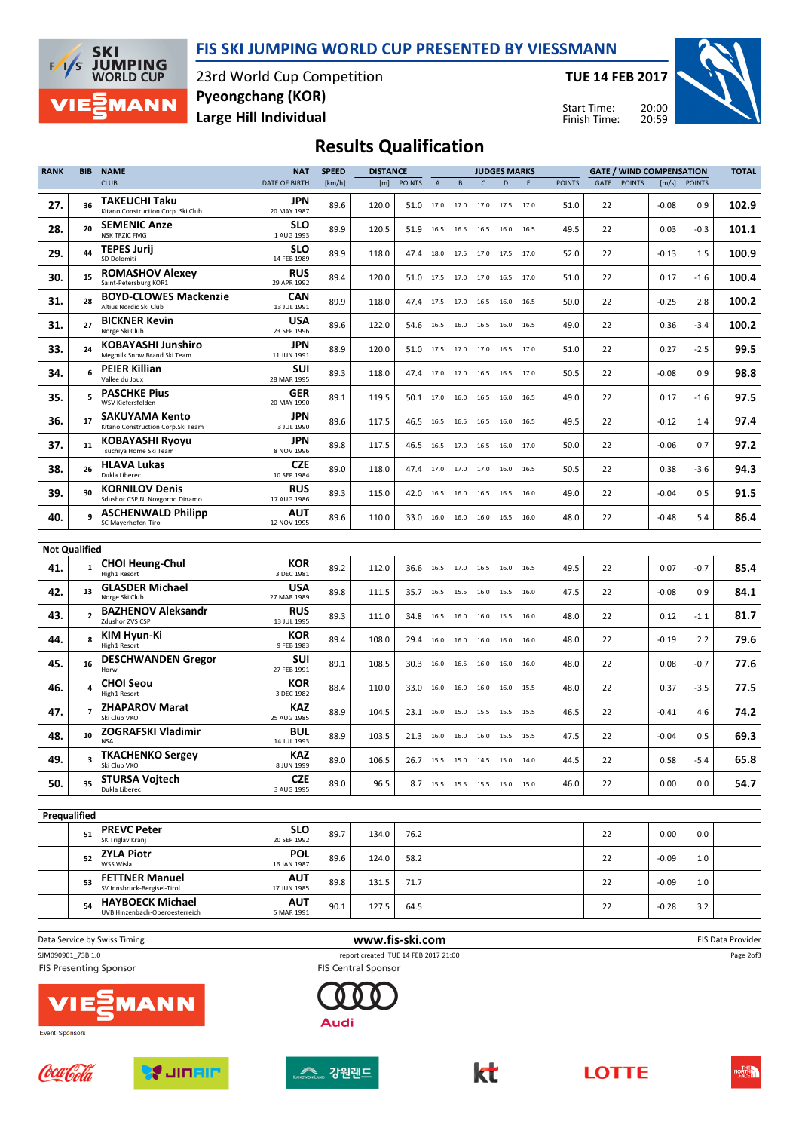



23rd World Cup Competition Large Hill Individual Pyeongchang (KOR)

TUE 14 FEB 2017

Start Time: Finish Time:



## Results Qualification

| <b>RANK</b>          | <b>BIB</b>     | <b>NAME</b>                                             | <b>NAT</b>                | <b>SPEED</b> | <b>DISTANCE</b> |               |              |              |              | <b>JUDGES MARKS</b>      |      |               |      |               | <b>GATE / WIND COMPENSATION</b> |               | <b>TOTAL</b> |
|----------------------|----------------|---------------------------------------------------------|---------------------------|--------------|-----------------|---------------|--------------|--------------|--------------|--------------------------|------|---------------|------|---------------|---------------------------------|---------------|--------------|
|                      |                | <b>CLUB</b>                                             | <b>DATE OF BIRTH</b>      | [km/h]       | [m]             | <b>POINTS</b> | $\mathsf{A}$ | <sub>B</sub> | $\mathsf{C}$ | D                        | E    | <b>POINTS</b> | GATE | <b>POINTS</b> | [m/s]                           | <b>POINTS</b> |              |
| 27.                  | 36             | TAKEUCHI Taku<br>Kitano Construction Corp. Ski Club     | JPN<br>20 MAY 1987        | 89.6         | 120.0           | 51.0          |              | 17.0 17.0    |              | 17.0 17.5                | 17.0 | 51.0          | 22   |               | $-0.08$                         | 0.9           | 102.9        |
| 28.                  | 20             | <b>SEMENIC Anze</b><br><b>NSK TRZIC FMG</b>             | SLO<br>1 AUG 1993         | 89.9         | 120.5           | 51.9          | 16.5         | 16.5         | 16.5         | 16.0                     | 16.5 | 49.5          | 22   |               | 0.03                            | -0.3          | 101.1        |
| 29.                  | 44             | <b>TEPES Jurij</b><br>SD Dolomiti                       | SLO<br>14 FEB 1989        | 89.9         | 118.0           | 47.4          |              | 18.0 17.5    |              | 17.0 17.5                | 17.0 | 52.0          | 22   |               | $-0.13$                         | 1.5           | 100.9        |
| 30.                  | 15             | <b>ROMASHOV Alexey</b><br>Saint-Petersburg KOR1         | <b>RUS</b><br>29 APR 1992 | 89.4         | 120.0           | 51.0          | 17.5         | 17.0         | 17.0 16.5    |                          | 17.0 | 51.0          | 22   |               | 0.17                            | $-1.6$        | 100.4        |
| 31.                  | 28             | <b>BOYD-CLOWES Mackenzie</b><br>Altius Nordic Ski Club  | <b>CAN</b><br>13 JUL 1991 | 89.9         | 118.0           | 47.4          |              | 17.5 17.0    |              | 16.5 16.0                | 16.5 | 50.0          | 22   |               | $-0.25$                         | 2.8           | 100.2        |
| 31.                  | 27             | <b>BICKNER Kevin</b><br>Norge Ski Club                  | USA<br>23 SEP 1996        | 89.6         | 122.0           | 54.6          | 16.5         | 16.0         | 16.5         | 16.0                     | 16.5 | 49.0          | 22   |               | 0.36                            | $-3.4$        | 100.2        |
| 33.                  | 24             | KOBAYASHI Junshiro<br>Megmilk Snow Brand Ski Team       | <b>JPN</b><br>11 JUN 1991 | 88.9         | 120.0           | 51.0          | 17.5         | 17.0         | 17.0 16.5    |                          | 17.0 | 51.0          | 22   |               | 0.27                            | $-2.5$        | 99.5         |
| 34.                  | 6              | PEIER Killian<br>Vallee du Joux                         | SUI<br>28 MAR 1995        | 89.3         | 118.0           | 47.4          | 17.0         | 17.0         | 16.5         | 16.5                     | 17.0 | 50.5          | 22   |               | $-0.08$                         | 0.9           | 98.8         |
| 35.                  | 5              | <b>PASCHKE Pius</b><br>WSV Kiefersfelden                | <b>GER</b><br>20 MAY 1990 | 89.1         | 119.5           | 50.1          | 17.0         | 16.0         | 16.5         | 16.0                     | 16.5 | 49.0          | 22   |               | 0.17                            | $-1.6$        | 97.5         |
| 36.                  | 17             | SAKUYAMA Kento<br>Kitano Construction Corp. Ski Team    | JPN<br>3 JUL 1990         | 89.6         | 117.5           | 46.5          | 16.5         | 16.5         | 16.5         | 16.0                     | 16.5 | 49.5          | 22   |               | $-0.12$                         | 1.4           | 97.4         |
| 37.                  | 11             | KOBAYASHI Ryoyu<br>Tsuchiya Home Ski Team               | JPN<br>8 NOV 1996         | 89.8         | 117.5           | 46.5          | 16.5         | 17.0         | 16.5         | 16.0                     | 17.0 | 50.0          | 22   |               | $-0.06$                         | 0.7           | 97.2         |
| 38.                  | 26             | <b>HLAVA Lukas</b><br>Dukla Liberec                     | <b>CZE</b><br>10 SEP 1984 | 89.0         | 118.0           | 47.4          | 17.0         | 17.0         | 17.0         | 16.0                     | 16.5 | 50.5          | 22   |               | 0.38                            | -3.6          | 94.3         |
| 39.                  | 30             | <b>KORNILOV Denis</b><br>Sdushor CSP N. Novgorod Dinamo | <b>RUS</b><br>17 AUG 1986 | 89.3         | 115.0           | 42.0          | 16.5         | 16.0         | 16.5         | 16.5                     | 16.0 | 49.0          | 22   |               | $-0.04$                         | 0.5           | 91.5         |
| 40.                  | q              | <b>ASCHENWALD Philipp</b><br>SC Mayerhofen-Tirol        | <b>AUT</b><br>12 NOV 1995 | 89.6         | 110.0           | 33.0          | 16.0         | 16.0         |              | 16.0 16.5                | 16.0 | 48.0          | 22   |               | $-0.48$                         | 5.4           | 86.4         |
|                      |                |                                                         |                           |              |                 |               |              |              |              |                          |      |               |      |               |                                 |               |              |
| <b>Not Qualified</b> |                |                                                         | <b>KOR</b>                |              |                 |               |              |              |              |                          |      |               |      |               |                                 |               |              |
| 41.                  | $\mathbf{1}$   | <b>CHOI Heung-Chul</b><br>High1 Resort                  | 3 DEC 1981<br>USA         | 89.2         | 112.0           | 36.6          |              | 16.5 17.0    |              | 16.5 16.0                | 16.5 | 49.5          | 22   |               | 0.07                            | $-0.7$        | 85.4         |
| 42.                  | 13             | <b>GLASDER Michael</b><br>Norge Ski Club                | 27 MAR 1989               | 89.8         | 111.5           | 35.7          |              | 16.5 15.5    |              | 16.0 15.5 16.0           |      | 47.5          | 22   |               | $-0.08$                         | 0.9           | 84.1         |
| 43.                  | $\overline{2}$ | <b>BAZHENOV Aleksandr</b><br>Zdushor ZVS CSP            | <b>RUS</b><br>13 JUL 1995 | 89.3         | 111.0           | 34.8          | 16.5         | 16.0         | 16.0         | 15.5                     | 16.0 | 48.0          | 22   |               | 0.12                            | $-1.1$        | 81.7         |
| 44.                  | 8              | KIM Hyun-Ki<br>High1 Resort                             | KOR<br>9 FEB 1983         | 89.4         | 108.0           | 29.4          |              | 16.0 16.0    |              | 16.0 16.0                | 16.0 | 48.0          | 22   |               | $-0.19$                         | 2.2           | 79.6         |
| 45.                  | 16             | <b>DESCHWANDEN Gregor</b><br>Horw                       | SUI<br>27 FEB 1991        | 89.1         | 108.5           | 30.3          | 16.0         | 16.5         | 16.0         | 16.0                     | 16.0 | 48.0          | 22   |               | 0.08                            | -0.7          | 77.6         |
| 46.                  | 4              | <b>CHOI Seou</b><br>High1 Resort                        | KOR<br>3 DEC 1982         | 88.4         | 110.0           | 33.0          | 16.0         | 16.0         | 16.0         | 16.0                     | 15.5 | 48.0          | 22   |               | 0.37                            | $-3.5$        | 77.5         |
| 47.                  | $\overline{7}$ | <b>ZHAPAROV Marat</b><br>Ski Club VKO                   | KAZ<br>25 AUG 1985        | 88.9         | 104.5           | 23.1          | 16.0         | 15.0         | 15.5         | 15.5                     | 15.5 | 46.5          | 22   |               | $-0.41$                         | 4.6           | 74.2         |
| 48.                  | 10             | <b>ZOGRAFSKI Vladimir</b><br><b>NSA</b>                 | <b>BUL</b><br>14 JUL 1993 | 88.9         | 103.5           | 21.3          | 16.0         | 16.0         | 16.0         | 15.5                     | 15.5 | 47.5          | 22   |               | $-0.04$                         | 0.5           | 69.3         |
| 49.                  | 3              | <b>TKACHENKO Sergey</b><br>Ski Club VKO                 | KAZ<br>8 JUN 1999         | 89.0         | 106.5           | 26.7          |              | 15.5 15.0    | 14.5 15.0    |                          | 14.0 | 44.5          | 22   |               | 0.58                            | $-5.4$        | 65.8         |
| 50.                  | 35             | <b>STURSA Vojtech</b><br>Dukla Liberec                  | <b>CZE</b><br>3 AUG 1995  | 89.0         | 96.5            | 8.7           |              |              |              | 15.5 15.5 15.5 15.0 15.0 |      | 46.0          | 22   |               | 0.00                            | 0.0           | 54.7         |
|                      |                |                                                         |                           |              |                 |               |              |              |              |                          |      |               |      |               |                                 |               |              |
| Prequalified         |                |                                                         |                           |              |                 |               |              |              |              |                          |      |               |      |               |                                 |               |              |
|                      | 51             | <b>PREVC Peter</b><br>SK Triglav Kranj                  | <b>SLO</b><br>20 SEP 1992 | 89.7         | 134.0           | 76.2          |              |              |              |                          |      |               | 22   |               | 0.00                            | 0.0           |              |
|                      | 52             | <b>ZYLA Piotr</b><br>WSS Wisla                          | <b>POL</b><br>16 JAN 1987 | 89.6         | 124.0           | 58.2          |              |              |              |                          |      |               | 22   |               | $-0.09$                         | 1.0           |              |
|                      | 53             | <b>FETTNER Manuel</b><br>SV Innsbruck-Bergisel-Tirol    | AUT<br>17 JUN 1985        | 89.8         | 131.5           | 71.7          |              |              |              |                          |      |               | 22   |               | $-0.09$                         | 1.0           |              |

Data Service by Swiss Timing **EXECUTE:** The Same of the WWW.fis-ski.com **EXECUTE:** FIS Data Provider

54

SJM090901\_73B 1.0 report created TUE 14 FEB 2017 21:00

**FIS Presenting Sponsor** 



UVB Hinzenbach-Oberoesterreich HAYBOECK Michael

Event Sponsors







**Audi** 

**FIS Central Sponsor** 

**AUT**<br>5 MAR 1991



 $\textsf{AUT}$   $_{90.1}$   $_{127.5}$   $_{64.5}$   $_{22}$   $_{-0.28}$   $_{3.2}$ 



Page 2of3